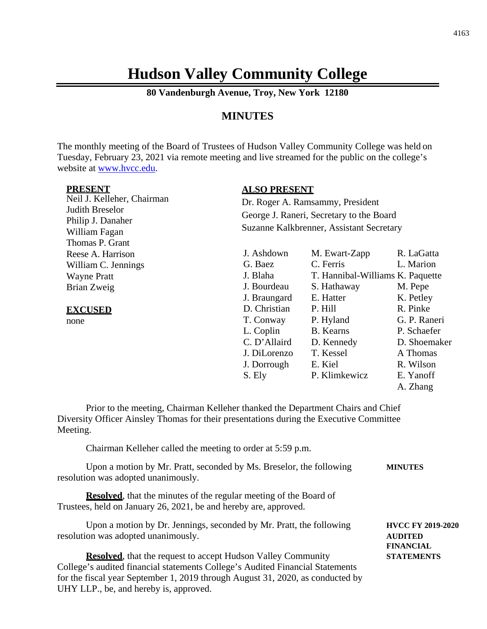# **Hudson Valley Community College**

**80 Vandenburgh Avenue, Troy, New York 12180**

#### **MINUTES**

The monthly meeting of the Board of Trustees of Hudson Valley Community College was held on Tuesday, February 23, 2021 via remote meeting and live streamed for the public on the college's website at [www.hvcc.edu.](http://www.hvcc.edu/)

|--|

Neil J. Kelleher, Chairman Judith Breselor Philip J. Danaher William Fagan Thomas P. Grant Reese A. Harrison William C. Jennings Wayne Pratt Brian Zweig

**EXCUSED**

none

#### **ALSO PRESENT**

Dr. Roger A. Ramsammy, President George J. Raneri, Secretary to the Board Suzanne Kalkbrenner, Assistant Secretary

| J. Ashdown   | M. Ewart-Zapp                    | R. LaGatta   |
|--------------|----------------------------------|--------------|
| G. Baez      | C. Ferris                        | L. Marion    |
| J. Blaha     | T. Hannibal-Williams K. Paquette |              |
| J. Bourdeau  | S. Hathaway                      | M. Pepe      |
| J. Braungard | E. Hatter                        | K. Petley    |
| D. Christian | P. Hill                          | R. Pinke     |
| T. Conway    | P. Hyland                        | G. P. Raneri |
| L. Coplin    | <b>B.</b> Kearns                 | P. Schaefer  |
| C. D'Allaird | D. Kennedy                       | D. Shoemaker |
| J. DiLorenzo | T. Kessel                        | A Thomas     |
| J. Dorrough  | E. Kiel                          | R. Wilson    |
| S. Ely       | P. Klimkewicz                    | E. Yanoff    |
|              |                                  | A. Zhang     |
|              |                                  |              |

Prior to the meeting, Chairman Kelleher thanked the Department Chairs and Chief Diversity Officer Ainsley Thomas for their presentations during the Executive Committee Meeting.

Chairman Kelleher called the meeting to order at 5:59 p.m.

| Upon a motion by Mr. Pratt, seconded by Ms. Breselor, the following<br>resolution was adopted unanimously.                                    | <b>MINUTES</b>                                                 |
|-----------------------------------------------------------------------------------------------------------------------------------------------|----------------------------------------------------------------|
| <b>Resolved</b> , that the minutes of the regular meeting of the Board of<br>Trustees, held on January 26, 2021, be and hereby are, approved. |                                                                |
| Upon a motion by Dr. Jennings, seconded by Mr. Pratt, the following<br>resolution was adopted unanimously.                                    | <b>HVCC FY 2019-2020</b><br><b>AUDITED</b><br><b>FINANCIAL</b> |
| <b>Resolved</b> , that the request to accept Hudson Valley Community                                                                          | <b>STATEMENTS</b>                                              |

College's audited financial statements College's Audited Financial Statements for the fiscal year September 1, 2019 through August 31, 2020, as conducted by UHY LLP., be, and hereby is, approved.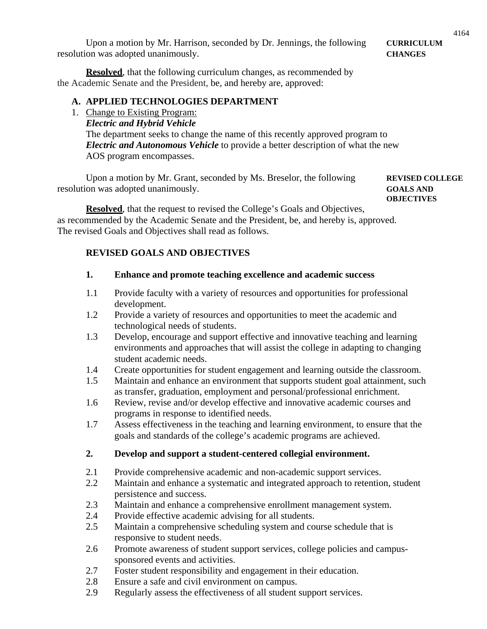Upon a motion by Mr. Harrison, seconded by Dr. Jennings, the following **CURRICULUM** resolution was adopted unanimously. **CHANGES**

**Resolved**, that the following curriculum changes, as recommended by the Academic Senate and the President, be, and hereby are, approved:

#### **A. APPLIED TECHNOLOGIES DEPARTMENT**

- 1. Change to Existing Program:
	- *Electric and Hybrid Vehicle*

The department seeks to change the name of this recently approved program to *Electric and Autonomous Vehicle* to provide a better description of what the new AOS program encompasses.

Upon a motion by Mr. Grant, seconded by Ms. Breselor, the following **REVISED COLLEGE** resolution was adopted unanimously. **GOALS AND**

**OBJECTIVES**

**Resolved**, that the request to revised the College's Goals and Objectives, as recommended by the Academic Senate and the President, be, and hereby is, approved. The revised Goals and Objectives shall read as follows.

## **REVISED GOALS AND OBJECTIVES**

#### **1. Enhance and promote teaching excellence and academic success**

- 1.1 Provide faculty with a variety of resources and opportunities for professional development.
- 1.2 Provide a variety of resources and opportunities to meet the academic and technological needs of students.
- 1.3 Develop, encourage and support effective and innovative teaching and learning environments and approaches that will assist the college in adapting to changing student academic needs.
- 1.4 Create opportunities for student engagement and learning outside the classroom.
- 1.5 Maintain and enhance an environment that supports student goal attainment, such as transfer, graduation, employment and personal/professional enrichment.
- 1.6 Review, revise and/or develop effective and innovative academic courses and programs in response to identified needs.
- 1.7 Assess effectiveness in the teaching and learning environment, to ensure that the goals and standards of the college's academic programs are achieved.

## **2. Develop and support a student-centered collegial environment.**

- 2.1 Provide comprehensive academic and non-academic support services.
- 2.2 Maintain and enhance a systematic and integrated approach to retention, student persistence and success.
- 2.3 Maintain and enhance a comprehensive enrollment management system.
- 2.4 Provide effective academic advising for all students.
- 2.5 Maintain a comprehensive scheduling system and course schedule that is responsive to student needs.
- 2.6 Promote awareness of student support services, college policies and campussponsored events and activities.
- 2.7 Foster student responsibility and engagement in their education.
- 2.8 Ensure a safe and civil environment on campus.
- 2.9 Regularly assess the effectiveness of all student support services.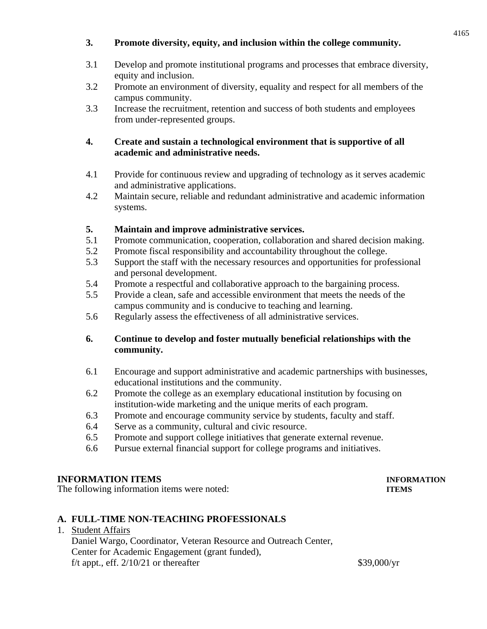#### **3. Promote diversity, equity, and inclusion within the college community.**

- 3.1 Develop and promote institutional programs and processes that embrace diversity, equity and inclusion.
- 3.2 Promote an environment of diversity, equality and respect for all members of the campus community.
- 3.3 Increase the recruitment, retention and success of both students and employees from under-represented groups.

#### **4. Create and sustain a technological environment that is supportive of all academic and administrative needs.**

- 4.1 Provide for continuous review and upgrading of technology as it serves academic and administrative applications.
- 4.2 Maintain secure, reliable and redundant administrative and academic information systems.

#### **5. Maintain and improve administrative services.**

- 5.1 Promote communication, cooperation, collaboration and shared decision making.
- 5.2 Promote fiscal responsibility and accountability throughout the college.
- 5.3 Support the staff with the necessary resources and opportunities for professional and personal development.
- 5.4 Promote a respectful and collaborative approach to the bargaining process.
- 5.5 Provide a clean, safe and accessible environment that meets the needs of the campus community and is conducive to teaching and learning.
- 5.6 Regularly assess the effectiveness of all administrative services.

#### **6. Continue to develop and foster mutually beneficial relationships with the community.**

- 6.1 Encourage and support administrative and academic partnerships with businesses, educational institutions and the community.
- 6.2 Promote the college as an exemplary educational institution by focusing on institution-wide marketing and the unique merits of each program.
- 6.3 Promote and encourage community service by students, faculty and staff.
- 6.4 Serve as a community, cultural and civic resource.
- 6.5 Promote and support college initiatives that generate external revenue.
- 6.6 Pursue external financial support for college programs and initiatives.

## **INFORMATION ITEMS INFORMATION**

The following information items were noted: **ITEMS**

#### **A. FULL-TIME NON-TEACHING PROFESSIONALS**

1. Student Affairs

Daniel Wargo, Coordinator, Veteran Resource and Outreach Center, Center for Academic Engagement (grant funded), f/t appt., eff.  $2/10/21$  or thereafter \$39,000/yr